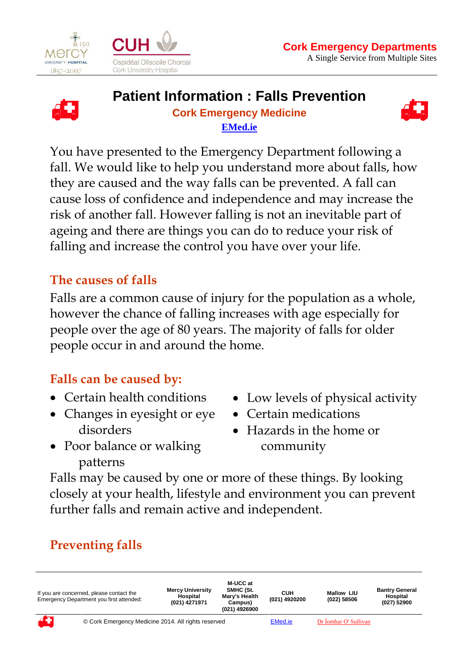

 $\overline{a}$ 





#### **Patient Information : Falls Prevention Cork Emergency Medicine EMed.ie**



You have presented to the Emergency Department following a fall. We would like to help you understand more about falls, how they are caused and the way falls can be prevented. A fall can cause loss of confidence and independence and may increase the risk of another fall. However falling is not an inevitable part of ageing and there are things you can do to reduce your risk of falling and increase the control you have over your life.

#### **The causes of falls**

Falls are a common cause of injury for the population as a whole, however the chance of falling increases with age especially for people over the age of 80 years. The majority of falls for older people occur in and around the home.

#### **Falls can be caused by:**

- Certain health conditions
- Changes in eyesight or eye disorders
- Low levels of physical activity
- Certain medications
- Hazards in the home or community
- Poor balance or walking patterns

Falls may be caused by one or more of these things. By looking closely at your health, lifestyle and environment you can prevent further falls and remain active and independent.

# **Preventing falls**

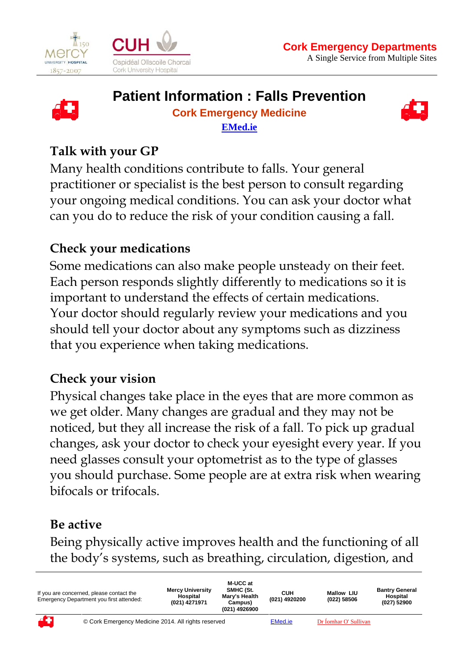





# **Patient Information : Falls Prevention**

#### **Cork Emergency Medicine EMed.ie**



# **Talk with your GP**

 $\overline{a}$ 

Many health conditions contribute to falls. Your general practitioner or specialist is the best person to consult regarding your ongoing medical conditions. You can ask your doctor what can you do to reduce the risk of your condition causing a fall.

## **Check your medications**

Some medications can also make people unsteady on their feet. Each person responds slightly differently to medications so it is important to understand the effects of certain medications. Your doctor should regularly review your medications and you should tell your doctor about any symptoms such as dizziness that you experience when taking medications.

#### **Check your vision**

Physical changes take place in the eyes that are more common as we get older. Many changes are gradual and they may not be noticed, but they all increase the risk of a fall. To pick up gradual changes, ask your doctor to check your eyesight every year. If you need glasses consult your optometrist as to the type of glasses you should purchase. Some people are at extra risk when wearing bifocals or trifocals.

# **Be active**

Being physically active improves health and the functioning of all the body's systems, such as breathing, circulation, digestion, and

| If you are concerned, please contact the<br>Emergency Department you first attended: |                                                     | <b>Mercy University</b><br>Hospital<br>(021) 4271971 | M-UCC at<br>SMHC (St.<br>Mary's Health<br>Campus)<br>(021) 4926900 | син<br>(021) 4920200 | <b>Mallow LIU</b><br>(022) 58506 | <b>Bantry General</b><br>Hospital<br>(027) 52900 |
|--------------------------------------------------------------------------------------|-----------------------------------------------------|------------------------------------------------------|--------------------------------------------------------------------|----------------------|----------------------------------|--------------------------------------------------|
| 47                                                                                   | © Cork Emergency Medicine 2014. All rights reserved |                                                      |                                                                    | <b>EMed.ie</b>       | Dr Íomhar O' Sullivan            |                                                  |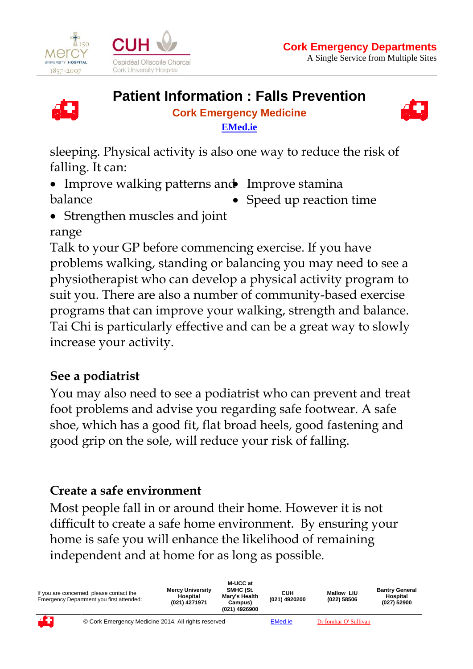

 $\overline{a}$ 





#### **Patient Information : Falls Prevention**

#### **Cork Emergency Medicine EMed.ie**



sleeping. Physical activity is also one way to reduce the risk of falling. It can:

- Improve walking patterns and Improve stamina balance
	- Speed up reaction time
- Strengthen muscles and joint

## range

Talk to your GP before commencing exercise. If you have problems walking, standing or balancing you may need to see a physiotherapist who can develop a physical activity program to suit you. There are also a number of community-based exercise programs that can improve your walking, strength and balance. Tai Chi is particularly effective and can be a great way to slowly increase your activity.

# **See a podiatrist**

You may also need to see a podiatrist who can prevent and treat foot problems and advise you regarding safe footwear. A safe shoe, which has a good fit, flat broad heels, good fastening and good grip on the sole, will reduce your risk of falling.

# **Create a safe environment**

Most people fall in or around their home. However it is not difficult to create a safe home environment. By ensuring your home is safe you will enhance the likelihood of remaining independent and at home for as long as possible.

| If you are concerned, please contact the<br>Emergency Department you first attended: |                                                     | <b>Mercy University</b><br>Hospital<br>(021) 4271971 | M-UCC at<br>SMHC (St.<br>Mary's Health<br>Campus)<br>(021) 4926900 | син<br>(021) 4920200 | <b>Mallow LIU</b><br>(022) 58506 | <b>Bantry General</b><br>Hospital<br>(027) 52900 |
|--------------------------------------------------------------------------------------|-----------------------------------------------------|------------------------------------------------------|--------------------------------------------------------------------|----------------------|----------------------------------|--------------------------------------------------|
| 45                                                                                   | © Cork Emergency Medicine 2014. All rights reserved |                                                      |                                                                    | EMed.ie              | Dr Íomhar O' Sullivan            |                                                  |